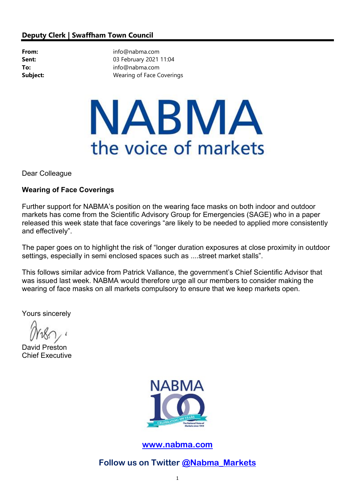## Deputy Clerk | Swaffham Town Council

From: info@nabma.com **Sent:** 03 February 2021 11:04 To: info@nabma.com **Subject:** Wearing of Face Coverings

## NABMA the voice of markets

Dear Colleague

## Wearing of Face Coverings

Further support for NABMA's position on the wearing face masks on both indoor and outdoor markets has come from the Scientific Advisory Group for Emergencies (SAGE) who in a paper released this week state that face coverings "are likely to be needed to applied more consistently and effectively".

The paper goes on to highlight the risk of "longer duration exposures at close proximity in outdoor settings, especially in semi enclosed spaces such as ....street market stalls".

This follows similar advice from Patrick Vallance, the government's Chief Scientific Advisor that was issued last week. NABMA would therefore urge all our members to consider making the wearing of face masks on all markets compulsory to ensure that we keep markets open.

Yours sincerely

David Preston Chief Executive



www.nabma.com

Follow us on Twitter @Nabma\_Markets